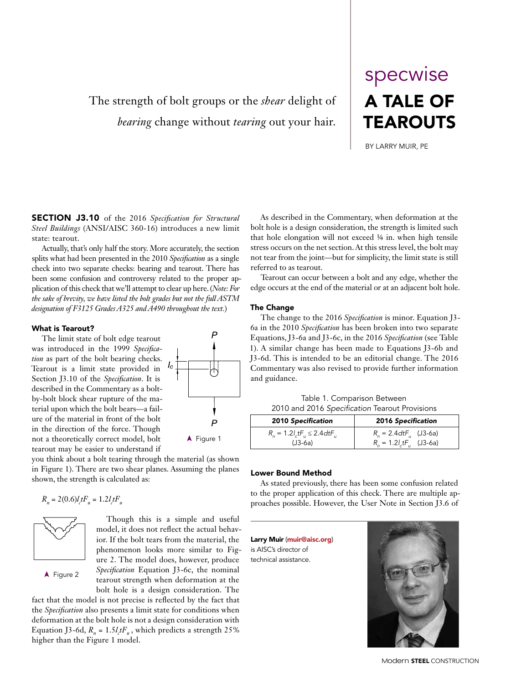# The strength of bolt groups or the *shear* delight of *bearing* change without *tearing* out your hair.

# A TALE OF **TEAROUTS** specwise

BY LARRY MUIR, PE

SECTION J3.10 of the 2016 *Specification for Structural Steel Buildings* (ANSI/AISC 360-16) introduces a new limit state: tearout.

Actually, that's only half the story. More accurately, the section splits what had been presented in the 2010 *Specification* as a single check into two separate checks: bearing and tearout. There has been some confusion and controversy related to the proper application of this check that we'll attempt to clear up here. (*Note: For the sake of brevity, we have listed the bolt grades but not the full ASTM designation of F3125 Grades A325 and A490 throughout the text.*)

#### What is Tearout?

The limit state of bolt edge tearout was introduced in the 1999 *Specification* as part of the bolt bearing checks. Tearout is a limit state provided in Section J3.10 of the *Specification*. It is described in the Commentary as a boltby-bolt block shear rupture of the material upon which the bolt bears—a failure of the material in front of the bolt in the direction of the force. Though not a theoretically correct model, bolt tearout may be easier to understand if

you think about a bolt tearing through the material (as shown in Figure 1). There are two shear planes. Assuming the planes shown, the strength is calculated as:

$$
R_n = 2(0.6)l_c t F_u = 1.2 l_c t F_u
$$



A Figure 2

Though this is a simple and useful model, it does not reflect the actual behavior. If the bolt tears from the material, the phenomenon looks more similar to Figure 2. The model does, however, produce *Specification* Equation J3-6c, the nominal tearout strength when deformation at the bolt hole is a design consideration. The

fact that the model is not precise is reflected by the fact that the *Specification* also presents a limit state for conditions when deformation at the bolt hole is not a design consideration with Equation J3-6d,  $R_n = 1.5 l_c t F_u$ , which predicts a strength 25% higher than the Figure 1 model.

As described in the Commentary, when deformation at the bolt hole is a design consideration, the strength is limited such that hole elongation will not exceed ¼ in. when high tensile stress occurs on the net section. At this stress level, the bolt may not tear from the joint—but for simplicity, the limit state is still referred to as tearout.

Tearout can occur between a bolt and any edge, whether the edge occurs at the end of the material or at an adjacent bolt hole.

#### The Change

The change to the 2016 *Specification* is minor. Equation J3- 6a in the 2010 *Specification* has been broken into two separate Equations, J3-6a and J3-6c, in the 2016 *Specification* (see Table 1). A similar change has been made to Equations J3-6b and J3-6d. This is intended to be an editorial change. The 2016 Commentary was also revised to provide further information and guidance.

Table 1. Comparison Between 2010 and 2016 *Specification* Tearout Provisions

| <b>2010 Specification</b>                    | 2016 Specification                                   |  |  |  |
|----------------------------------------------|------------------------------------------------------|--|--|--|
| $R_{0} = 1.2 l_{c} t F_{u} \le 2.4 dt F_{u}$ | $R_{\rm g} = 2.4 \text{d}t \text{F}_{\rm u}$ (J3-6a) |  |  |  |
| $(J3-6a)$                                    | $R_n = 1.2 l_c t F_n$ (J3-6a)                        |  |  |  |

#### Lower Bound Method

As stated previously, there has been some confusion related to the proper application of this check. There are multiple approaches possible. However, the User Note in Section J3.6 of

Larry Muir (muir@aisc.org) is AISC's director of technical assistance.



Modern **STEEL** CONSTRUCTION

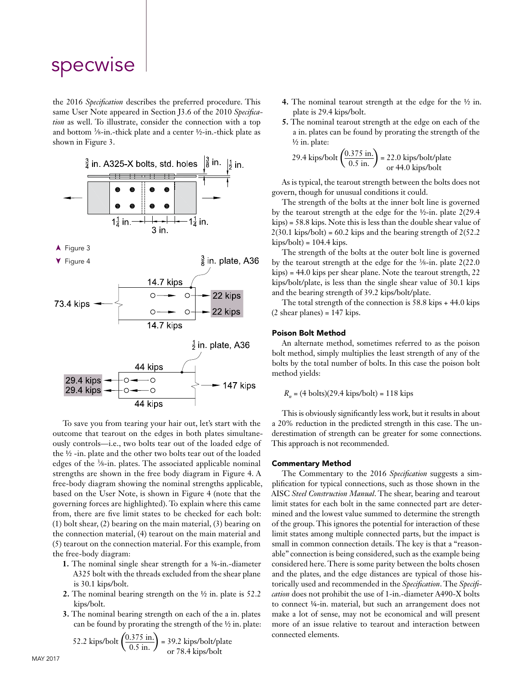# specwise

the 2016 *Specification* describes the preferred procedure. This same User Note appeared in Section J3.6 of the 2010 *Specification* as well. To illustrate, consider the connection with a top and bottom 3∕8-in.-thick plate and a center ½-in.-thick plate as shown in Figure 3.



To save you from tearing your hair out, let's start with the outcome that tearout on the edges in both plates simultaneously controls—i.e., two bolts tear out of the loaded edge of the ½ -in. plate and the other two bolts tear out of the loaded edges of the 3∕8-in. plates. The associated applicable nominal strengths are shown in the free body diagram in Figure 4. A free-body diagram showing the nominal strengths applicable, based on the User Note, is shown in Figure 4 (note that the governing forces are highlighted). To explain where this came from, there are five limit states to be checked for each bolt: (1) bolt shear, (2) bearing on the main material, (3) bearing on the connection material, (4) tearout on the main material and (5) tearout on the connection material. For this example, from the free-body diagram:

- **1.** The nominal single shear strength for a ¾-in.-diameter A325 bolt with the threads excluded from the shear plane is 30.1 kips/bolt.
- **2.** The nominal bearing strength on the ½ in. plate is 52.2 kips/bolt.
- **3.** The nominal bearing strength on each of the a in. plates can be found by prorating the strength of the ½ in. plate:

52.2 kips/bolt 
$$
\left(\frac{0.375 \text{ in.}}{0.5 \text{ in.}}\right)
$$
 = 39.2 kips/bolt-plate  
or 78.4 kips/bolt

- **4.** The nominal tearout strength at the edge for the ½ in. plate is 29.4 kips/bolt.
- **5.** The nominal tearout strength at the edge on each of the a in. plates can be found by prorating the strength of the ½ in. plate:

29.4 kips/bolt 
$$
\left(\frac{0.375 \text{ in.}}{0.5 \text{ in.}}\right)
$$
 = 22.0 kips/bolt/plate  
or 44.0 kips/bolt

As is typical, the tearout strength between the bolts does not govern, though for unusual conditions it could.

The strength of the bolts at the inner bolt line is governed by the tearout strength at the edge for the ½-in. plate 2(29.4 kips) = 58.8 kips. Note this is less than the double shear value of  $2(30.1 \text{ kips/bolt}) = 60.2 \text{ kips and the bearing strength of } 2(52.2 \text{ kips/holt)}$  $kips/bolt$  = 104.4  $kips$ .

The strength of the bolts at the outer bolt line is governed by the tearout strength at the edge for the 3∕8-in. plate 2(22.0 kips) = 44.0 kips per shear plane. Note the tearout strength, 22 kips/bolt/plate, is less than the single shear value of 30.1 kips and the bearing strength of 39.2 kips/bolt/plate.

The total strength of the connection is 58.8 kips + 44.0 kips  $(2 \text{ shear planes}) = 147 \text{ kips}.$ 

#### Poison Bolt Method

An alternate method, sometimes referred to as the poison bolt method, simply multiplies the least strength of any of the bolts by the total number of bolts. In this case the poison bolt method yields:

 $R_n = (4 \text{ bolts})(29.4 \text{ kips/bolt}) = 118 \text{ kips}$ 

This is obviously significantly less work, but it results in about a 20% reduction in the predicted strength in this case. The underestimation of strength can be greater for some connections. This approach is not recommended.

#### Commentary Method

The Commentary to the 2016 *Specification* suggests a simplification for typical connections, such as those shown in the AISC *Steel Construction Manual*. The shear, bearing and tearout limit states for each bolt in the same connected part are determined and the lowest value summed to determine the strength of the group. This ignores the potential for interaction of these limit states among multiple connected parts, but the impact is small in common connection details. The key is that a "reasonable" connection is being considered, such as the example being considered here. There is some parity between the bolts chosen and the plates, and the edge distances are typical of those historically used and recommended in the *Specification*. The *Specification* does not prohibit the use of 1-in.-diameter A490-X bolts to connect ¼-in. material, but such an arrangement does not make a lot of sense, may not be economical and will present more of an issue relative to tearout and interaction between connected elements.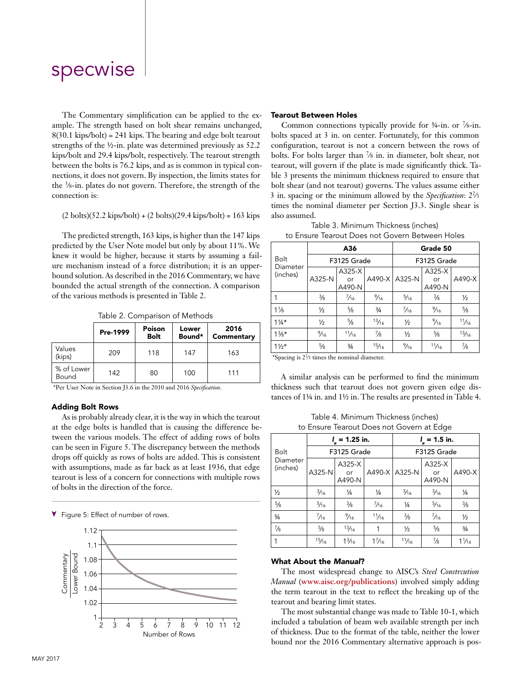# specwise

The Commentary simplification can be applied to the example. The strength based on bolt shear remains unchanged, 8(30.1 kips/bolt) = 241 kips. The bearing and edge bolt tearout strengths of the ½-in. plate was determined previously as 52.2 kips/bolt and 29.4 kips/bolt, respectively. The tearout strength between the bolts is 76.2 kips, and as is common in typical connections, it does not govern. By inspection, the limits states for the 3∕8-in. plates do not govern. Therefore, the strength of the connection is:

#### (2 bolts)(52.2 kips/bolt) + (2 bolts)(29.4 kips/bolt) = 163 kips

The predicted strength, 163 kips, is higher than the 147 kips predicted by the User Note model but only by about 11%. We knew it would be higher, because it starts by assuming a failure mechanism instead of a force distribution; it is an upperbound solution. As described in the 2016 Commentary, we have bounded the actual strength of the connection. A comparison of the various methods is presented in Table 2.

Table 2. Comparison of Methods

|                     | Pre-1999 | Poison<br><b>Bolt</b> | Lower<br>Bound* | 2016<br>Commentary |
|---------------------|----------|-----------------------|-----------------|--------------------|
| Values<br>(kips)    | 209      | 118                   | 147             | 163                |
| % of Lower<br>Bound | 142      | 80                    | 100             | 111                |

\*Per User Note in Section J3.6 in the 2010 and 2016 *Specification*.

#### Adding Bolt Rows

As is probably already clear, it is the way in which the tearout at the edge bolts is handled that is causing the difference between the various models. The effect of adding rows of bolts can be seen in Figure 5. The discrepancy between the methods drops off quickly as rows of bolts are added. This is consistent with assumptions, made as far back as at least 1936, that edge tearout is less of a concern for connections with multiple rows of bolts in the direction of the force.



#### Tearout Between Holes

Common connections typically provide for  $\frac{3}{4}$ -in. or  $\frac{7}{8}$ -in. bolts spaced at 3 in. on center. Fortunately, for this common configuration, tearout is not a concern between the rows of bolts. For bolts larger than 7∕8 in. in diameter, bolt shear, not tearout, will govern if the plate is made significantly thick. Table 3 presents the minimum thickness required to ensure that bolt shear (and not tearout) governs. The values assume either 3 in. spacing or the minimum allowed by the *Specification*: 22∕3 times the nominal diameter per Section J3.3. Single shear is also assumed.

Table 3. Minimum Thickness (inches)

| to Ensure Tearout Does not Govern Between Holes |
|-------------------------------------------------|
|-------------------------------------------------|

|                         |                | A36                    |                | Grade 50        |                        |               |
|-------------------------|----------------|------------------------|----------------|-----------------|------------------------|---------------|
| <b>Bolt</b><br>Diameter | F3125 Grade    |                        |                | F3125 Grade     |                        |               |
| (inches)                | A325-N         | A325-X<br>or<br>A490-N |                | A490-X   A325-N | A325-X<br>or<br>A490-N | A490-X        |
|                         | $\frac{3}{8}$  | $\frac{7}{16}$         | $\frac{9}{16}$ | $\frac{5}{16}$  | $\frac{3}{8}$          | $\frac{1}{2}$ |
| $1\frac{1}{8}$          | $\frac{1}{2}$  | $\frac{5}{8}$          | $\frac{3}{4}$  | $\frac{7}{16}$  | $\frac{9}{16}$         | $\frac{5}{8}$ |
| $1\frac{1}{4}$ *        | $\frac{1}{2}$  | $\frac{5}{8}$          | 13/16          | $\frac{1}{2}$   | $\frac{9}{16}$         | 11/16         |
| $1\frac{3}{8}*$         | $\frac{9}{16}$ | 11/16                  | $\frac{7}{8}$  | $\frac{1}{2}$   | $\frac{5}{8}$          | 13/16         |
| $1\frac{1}{2}$ *        | $\frac{5}{8}$  | $\frac{3}{4}$          | 15/16          | $\frac{9}{16}$  | 11/16                  | $\frac{7}{8}$ |

\*Spacing is 22∕3 times the nominal diameter.

A similar analysis can be performed to find the minimum thickness such that tearout does not govern given edge distances of 1¼ in. and 1½ in. The results are presented in Table 4.

|  |  | Table 4. Minimum Thickness (inches)       |  |
|--|--|-------------------------------------------|--|
|  |  | to Ensure Tearout Does not Govern at Edge |  |

|                      | $l_{\rm s}$ = 1.25 in. |                        |                 | $I_{\rm s}$ = 1.5 in. |                        |                 |
|----------------------|------------------------|------------------------|-----------------|-----------------------|------------------------|-----------------|
| <b>Bolt</b>          | F3125 Grade            |                        |                 | F3125 Grade           |                        |                 |
| Diameter<br>(inches) | A325-N                 | A325-X<br>or<br>A490-N |                 | A490-X   A325-N       | A325-X<br>or<br>A490-N | $A490-X$        |
| $\frac{1}{2}$        | $\frac{3}{16}$         | $\frac{1}{4}$          | $\frac{1}{4}$   | $\frac{3}{16}$        | $\frac{3}{16}$         | 1/4             |
| $\frac{5}{8}$        | $\frac{5}{16}$         | $\frac{3}{8}$          | $\frac{7}{16}$  | $\frac{1}{4}$         | $\frac{5}{16}$         | $\frac{3}{8}$   |
| $\frac{3}{4}$        | $\frac{7}{16}$         | $\frac{9}{16}$         | 11/16           | $\frac{3}{8}$         | $\frac{7}{16}$         | $\frac{1}{2}$   |
| $\frac{7}{8}$        | $\frac{5}{8}$          | 13/16                  |                 | $\frac{1}{2}$         | $\frac{5}{8}$          | $\frac{3}{4}$   |
| 1                    | 15/16                  | $1\frac{3}{16}$        | $1\frac{7}{16}$ | 11/16                 | $\frac{7}{8}$          | $1\frac{1}{16}$ |

#### What About the *Manual*?

The most widespread change to AISC's *Steel Constrcution Manual* (**www.aisc.org/publications**) involved simply adding the term tearout in the text to reflect the breaking up of the tearout and bearing limit states.

The most substantial change was made to Table 10-1, which included a tabulation of beam web available strength per inch of thickness. Due to the format of the table, neither the lower bound nor the 2016 Commentary alternative approach is pos-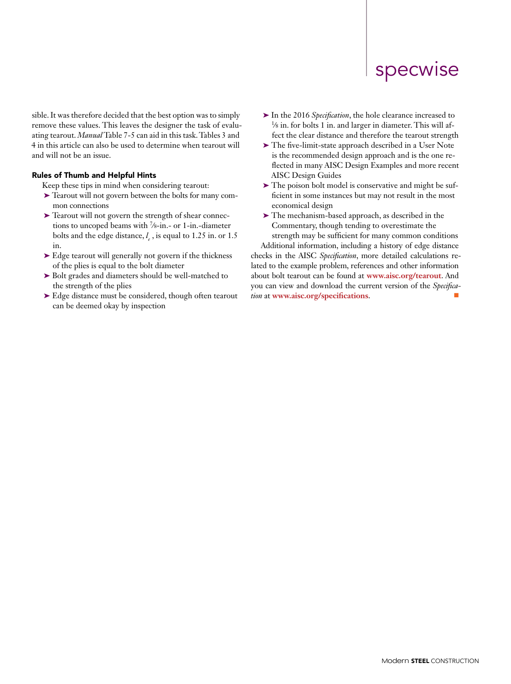# specwise

sible. It was therefore decided that the best option was to simply remove these values. This leaves the designer the task of evaluating tearout. *Manual* Table 7-5 can aid in this task. Tables 3 and 4 in this article can also be used to determine when tearout will and will not be an issue.

#### Rules of Thumb and Helpful Hints

Keep these tips in mind when considering tearout:

- ➤ Tearout will not govern between the bolts for many common connections
- ➤ Tearout will not govern the strength of shear connections to uncoped beams with 7∕8-in.- or 1-in.-diameter bolts and the edge distance,  $l_e$ , is equal to 1.25 in. or 1.5 in.
- ➤ Edge tearout will generally not govern if the thickness of the plies is equal to the bolt diameter
- ➤ Bolt grades and diameters should be well-matched to the strength of the plies
- ➤ Edge distance must be considered, though often tearout can be deemed okay by inspection
- ➤ In the 2016 *Specification*, the hole clearance increased to 1∕8 in. for bolts 1 in. and larger in diameter. This will affect the clear distance and therefore the tearout strength
- ➤ The five-limit-state approach described in a User Note is the recommended design approach and is the one reflected in many AISC Design Examples and more recent AISC Design Guides
- ➤ The poison bolt model is conservative and might be sufficient in some instances but may not result in the most economical design
- ➤ The mechanism-based approach, as described in the Commentary, though tending to overestimate the strength may be sufficient for many common conditions

Additional information, including a history of edge distance checks in the AISC *Specification*, more detailed calculations related to the example problem, references and other information about bolt tearout can be found at **www.aisc.org/tearout**. And you can view and download the current version of the *Specification* at **www.aisc.org/specifications**.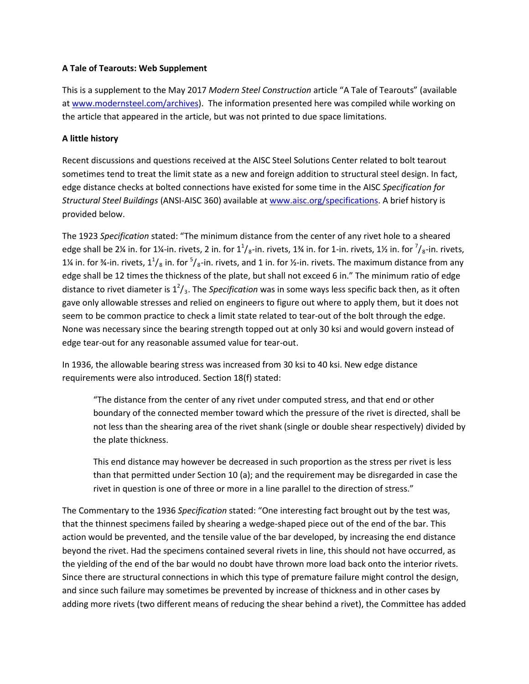## **A Tale of Tearouts: Web Supplement**

This is a supplement to the May 2017 *Modern Steel Construction* article "A Tale of Tearouts" (available at [www.modernsteel.com/archives\)](http://www.modernsteel.com/archives). The information presented here was compiled while working on the article that appeared in the article, but was not printed to due space limitations.

## **A little history**

Recent discussions and questions received at the AISC Steel Solutions Center related to bolt tearout sometimes tend to treat the limit state as a new and foreign addition to structural steel design. In fact, edge distance checks at bolted connections have existed for some time in the AISC *Specification for Structural Steel Buildings* (ANSI-AISC 360) available at [www.aisc.org/specifications.](http://www.aisc.org/specifications) A brief history is provided below.

The 1923 *Specification* stated: "The minimum distance from the center of any rivet hole to a sheared edge shall be 2¼ in. for 1¼-in. rivets, 2 in. for  $1^1/s$ -in. rivets, 1¾ in. for 1-in. rivets, 1½ in. for  $\frac{7}{s}$ -in. rivets, 1¼ in. for ¾-in. rivets,  $1^1/s$  in. for  $5/s$ -in. rivets, and 1 in. for ½-in. rivets. The maximum distance from any edge shall be 12 times the thickness of the plate, but shall not exceed 6 in." The minimum ratio of edge distance to rivet diameter is 1<sup>2</sup>/<sub>3</sub>. The *Specification* was in some ways less specific back then, as it often gave only allowable stresses and relied on engineers to figure out where to apply them, but it does not seem to be common practice to check a limit state related to tear-out of the bolt through the edge. None was necessary since the bearing strength topped out at only 30 ksi and would govern instead of edge tear-out for any reasonable assumed value for tear-out.

In 1936, the allowable bearing stress was increased from 30 ksi to 40 ksi. New edge distance requirements were also introduced. Section 18(f) stated:

"The distance from the center of any rivet under computed stress, and that end or other boundary of the connected member toward which the pressure of the rivet is directed, shall be not less than the shearing area of the rivet shank (single or double shear respectively) divided by the plate thickness.

This end distance may however be decreased in such proportion as the stress per rivet is less than that permitted under Section 10 (a); and the requirement may be disregarded in case the rivet in question is one of three or more in a line parallel to the direction of stress."

The Commentary to the 1936 *Specification* stated: "One interesting fact brought out by the test was, that the thinnest specimens failed by shearing a wedge-shaped piece out of the end of the bar. This action would be prevented, and the tensile value of the bar developed, by increasing the end distance beyond the rivet. Had the specimens contained several rivets in line, this should not have occurred, as the yielding of the end of the bar would no doubt have thrown more load back onto the interior rivets. Since there are structural connections in which this type of premature failure might control the design, and since such failure may sometimes be prevented by increase of thickness and in other cases by adding more rivets (two different means of reducing the shear behind a rivet), the Committee has added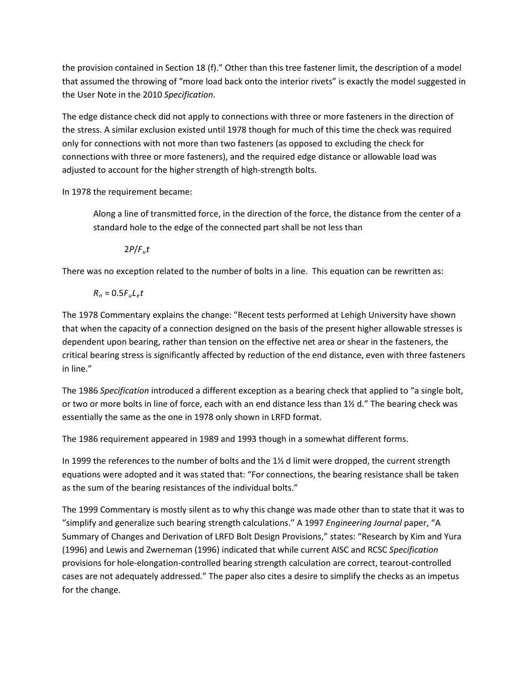the provision contained in Section 18 (f)." Other than this tree fastener limit, the description of a model that assumed the throwing of "more load back onto the interior rivets" is exactly the model suggested in the User Note in the 2010 *Specification*.

The edge distance check did not apply to connections with three or more fasteners in the direction of the stress. A similar exclusion existed until 1978 though for much of this time the check was required only for connections with not more than two fasteners (as opposed to excluding the check for connections with three or more fasteners), and the required edge distance or allowable load was adjusted to account for the higher strength of high-strength bolts.

In 1978 the requirement became:

Along a line of transmitted force, in the direction of the force, the distance from the center of a standard hole to the edge of the connected part shall be not less than

2*P*/*Fut*

There was no exception related to the number of bolts in a line. This equation can be rewritten as:

 $R_n = 0.5F_u L_e t$ 

The 1978 Commentary explains the change: "Recent tests performed at Lehigh University have shown that when the capacity of a connection designed on the basis of the present higher allowable stresses is dependent upon bearing, rather than tension on the effective net area or shear in the fasteners, the critical bearing stress is significantly affected by reduction of the end distance, even with three fasteners in line."

The 1986 *Specification* introduced a different exception as a bearing check that applied to "a single bolt, or two or more bolts in line of force, each with an end distance less than 1½ d." The bearing check was essentially the same as the one in 1978 only shown in LRFD format.

The 1986 requirement appeared in 1989 and 1993 though in a somewhat different forms.

In 1999 the references to the number of bolts and the  $1\frac{1}{2}$  d limit were dropped, the current strength equations were adopted and it was stated that: "For connections, the bearing resistance shall be taken as the sum of the bearing resistances of the individual bolts."

The 1999 Commentary is mostly silent as to why this change was made other than to state that it was to "simplify and generalize such bearing strength calculations." A 1997 *Engineering Journal* paper, "A Summary of Changes and Derivation of LRFD Bolt Design Provisions," states: "Research by Kim and Yura (1996) and Lewis and Zwerneman (1996) indicated that while current AISC and RCSC *Specification* provisions for hole-elongation-controlled bearing strength calculation are correct, tearout-controlled cases are not adequately addressed." The paper also cites a desire to simplify the checks as an impetus for the change.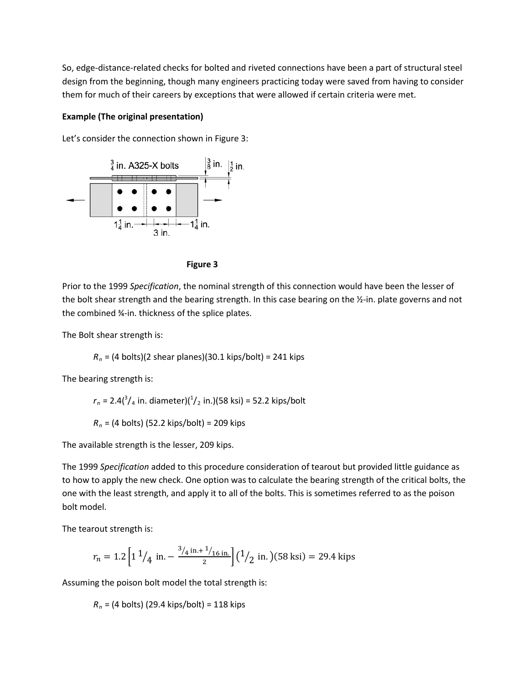So, edge-distance-related checks for bolted and riveted connections have been a part of structural steel design from the beginning, though many engineers practicing today were saved from having to consider them for much of their careers by exceptions that were allowed if certain criteria were met.

### **Example (The original presentation)**



Let's consider the connection shown in Figure 3:



Prior to the 1999 *Specification*, the nominal strength of this connection would have been the lesser of the bolt shear strength and the bearing strength. In this case bearing on the ½-in. plate governs and not the combined ¾-in. thickness of the splice plates.

The Bolt shear strength is:

*Rn* = (4 bolts)(2 shear planes)(30.1 kips/bolt) = 241 kips

The bearing strength is:

 $r_n = 2.4(^3/4$  in. diameter)( $^{1/2}$  in.)(58 ksi) = 52.2 kips/bolt *Rn* = (4 bolts) (52.2 kips/bolt) = 209 kips

The available strength is the lesser, 209 kips.

The 1999 *Specification* added to this procedure consideration of tearout but provided little guidance as to how to apply the new check. One option was to calculate the bearing strength of the critical bolts, the one with the least strength, and apply it to all of the bolts. This is sometimes referred to as the poison bolt model.

The tearout strength is:

$$
r_n = 1.2 \left[ 1 \frac{1}{4} \text{ in.} - \frac{\frac{3}{4} \text{ in.} + \frac{1}{16} \text{ in.}}{2} \right] \left( \frac{1}{2} \text{ in.} \right) (58 \text{ ksi}) = 29.4 \text{ kips}
$$

Assuming the poison bolt model the total strength is:

*Rn* = (4 bolts) (29.4 kips/bolt) = 118 kips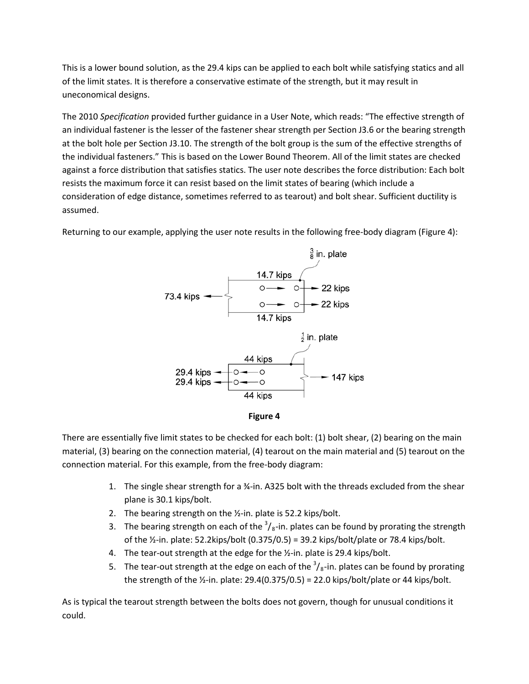This is a lower bound solution, as the 29.4 kips can be applied to each bolt while satisfying statics and all of the limit states. It is therefore a conservative estimate of the strength, but it may result in uneconomical designs.

The 2010 *Specification* provided further guidance in a User Note, which reads: "The effective strength of an individual fastener is the lesser of the fastener shear strength per Section J3.6 or the bearing strength at the bolt hole per Section J3.10. The strength of the bolt group is the sum of the effective strengths of the individual fasteners." This is based on the Lower Bound Theorem. All of the limit states are checked against a force distribution that satisfies statics. The user note describes the force distribution: Each bolt resists the maximum force it can resist based on the limit states of bearing (which include a consideration of edge distance, sometimes referred to as tearout) and bolt shear. Sufficient ductility is assumed.

Returning to our example, applying the user note results in the following free-body diagram (Figure 4):





There are essentially five limit states to be checked for each bolt: (1) bolt shear, (2) bearing on the main material, (3) bearing on the connection material, (4) tearout on the main material and (5) tearout on the connection material. For this example, from the free-body diagram:

- 1. The single shear strength for a ¾-in. A325 bolt with the threads excluded from the shear plane is 30.1 kips/bolt.
- 2. The bearing strength on the ½-in. plate is 52.2 kips/bolt.
- 3. The bearing strength on each of the  $\frac{3}{8}$ -in. plates can be found by prorating the strength of the  $\frac{1}{2}$ -in. plate: 52.2kips/bolt (0.375/0.5) = 39.2 kips/bolt/plate or 78.4 kips/bolt.
- 4. The tear-out strength at the edge for the ½-in. plate is 29.4 kips/bolt.
- 5. The tear-out strength at the edge on each of the  $\frac{3}{8}$ -in. plates can be found by prorating the strength of the  $\frac{1}{2}$ -in. plate: 29.4(0.375/0.5) = 22.0 kips/bolt/plate or 44 kips/bolt.

As is typical the tearout strength between the bolts does not govern, though for unusual conditions it could.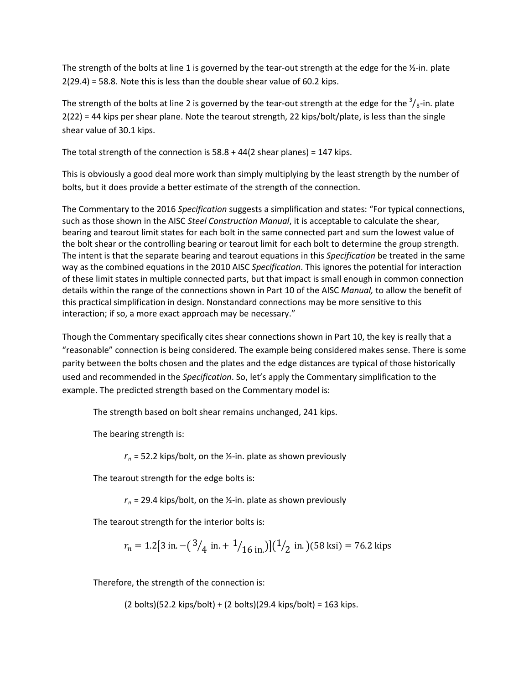The strength of the bolts at line 1 is governed by the tear-out strength at the edge for the  $\frac{1}{2}$ -in. plate 2(29.4) = 58.8. Note this is less than the double shear value of 60.2 kips.

The strength of the bolts at line 2 is governed by the tear-out strength at the edge for the  $\frac{3}{8}$ -in. plate 2(22) = 44 kips per shear plane. Note the tearout strength, 22 kips/bolt/plate, is less than the single shear value of 30.1 kips.

The total strength of the connection is  $58.8 + 44(2)$  shear planes) = 147 kips.

This is obviously a good deal more work than simply multiplying by the least strength by the number of bolts, but it does provide a better estimate of the strength of the connection.

The Commentary to the 2016 *Specification* suggests a simplification and states: "For typical connections, such as those shown in the AISC *Steel Construction Manual*, it is acceptable to calculate the shear, bearing and tearout limit states for each bolt in the same connected part and sum the lowest value of the bolt shear or the controlling bearing or tearout limit for each bolt to determine the group strength. The intent is that the separate bearing and tearout equations in this *Specification* be treated in the same way as the combined equations in the 2010 AISC *Specification*. This ignores the potential for interaction of these limit states in multiple connected parts, but that impact is small enough in common connection details within the range of the connections shown in Part 10 of the AISC *Manual,* to allow the benefit of this practical simplification in design. Nonstandard connections may be more sensitive to this interaction; if so, a more exact approach may be necessary."

Though the Commentary specifically cites shear connections shown in Part 10, the key is really that a "reasonable" connection is being considered. The example being considered makes sense. There is some parity between the bolts chosen and the plates and the edge distances are typical of those historically used and recommended in the *Specification*. So, let's apply the Commentary simplification to the example. The predicted strength based on the Commentary model is:

The strength based on bolt shear remains unchanged, 241 kips.

The bearing strength is:

 $r_n$  = 52.2 kips/bolt, on the  $\frac{1}{2}$ -in. plate as shown previously

The tearout strength for the edge bolts is:

 $r_n$  = 29.4 kips/bolt, on the  $\frac{1}{2}$ -in. plate as shown previously

The tearout strength for the interior bolts is:

$$
r_n = 1.2[3 \text{ in.} - (\frac{3}{4} \text{ in.} + \frac{1}{16} \text{ in.})](\frac{1}{2} \text{ in.})(58 \text{ ksi}) = 76.2 \text{ kips}
$$

Therefore, the strength of the connection is:

(2 bolts)(52.2 kips/bolt) + (2 bolts)(29.4 kips/bolt) = 163 kips.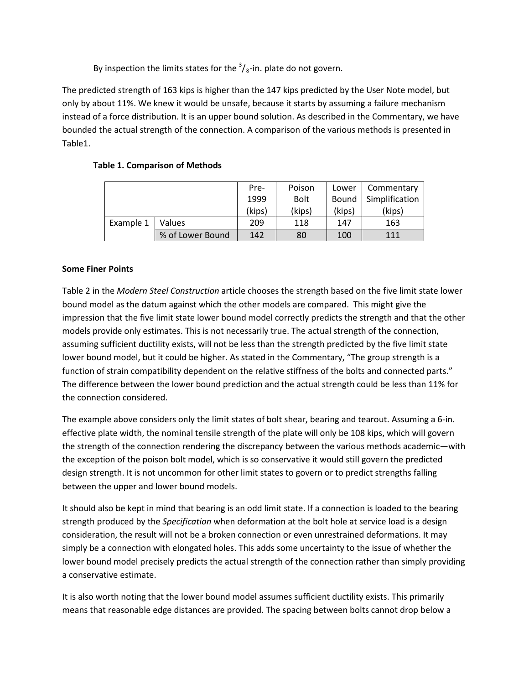By inspection the limits states for the  $\frac{3}{8}$ -in. plate do not govern.

The predicted strength of 163 kips is higher than the 147 kips predicted by the User Note model, but only by about 11%. We knew it would be unsafe, because it starts by assuming a failure mechanism instead of a force distribution. It is an upper bound solution. As described in the Commentary, we have bounded the actual strength of the connection. A comparison of the various methods is presented in Table1.

|           |                  | Pre-   | Poison      | Lower  | Commentary     |
|-----------|------------------|--------|-------------|--------|----------------|
|           |                  | 1999   | <b>Bolt</b> | Bound  | Simplification |
|           |                  | (kips) | (kips)      | (kips) | (kips)         |
| Example 1 | <b>Values</b>    | 209    | 118         | 147    | 163            |
|           | % of Lower Bound | 142    | 80          | 100    | 111            |

# **Table 1. Comparison of Methods**

## **Some Finer Points**

Table 2 in the *Modern Steel Construction* article chooses the strength based on the five limit state lower bound model as the datum against which the other models are compared. This might give the impression that the five limit state lower bound model correctly predicts the strength and that the other models provide only estimates. This is not necessarily true. The actual strength of the connection, assuming sufficient ductility exists, will not be less than the strength predicted by the five limit state lower bound model, but it could be higher. As stated in the Commentary, "The group strength is a function of strain compatibility dependent on the relative stiffness of the bolts and connected parts." The difference between the lower bound prediction and the actual strength could be less than 11% for the connection considered.

The example above considers only the limit states of bolt shear, bearing and tearout. Assuming a 6-in. effective plate width, the nominal tensile strength of the plate will only be 108 kips, which will govern the strength of the connection rendering the discrepancy between the various methods academic—with the exception of the poison bolt model, which is so conservative it would still govern the predicted design strength. It is not uncommon for other limit states to govern or to predict strengths falling between the upper and lower bound models.

It should also be kept in mind that bearing is an odd limit state. If a connection is loaded to the bearing strength produced by the *Specification* when deformation at the bolt hole at service load is a design consideration, the result will not be a broken connection or even unrestrained deformations. It may simply be a connection with elongated holes. This adds some uncertainty to the issue of whether the lower bound model precisely predicts the actual strength of the connection rather than simply providing a conservative estimate.

It is also worth noting that the lower bound model assumes sufficient ductility exists. This primarily means that reasonable edge distances are provided. The spacing between bolts cannot drop below a